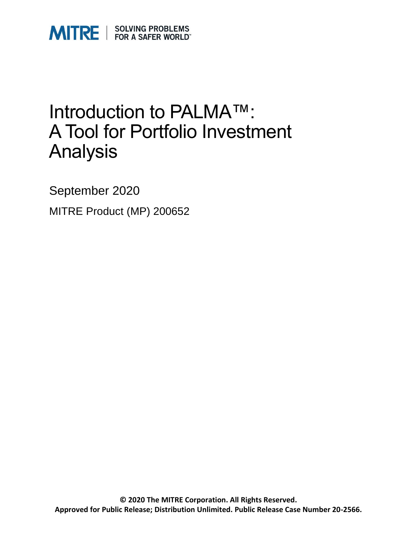

### Introduction to PALMA™: A Tool for Portfolio Investment Analysis

September 2020

MITRE Product (MP) 200652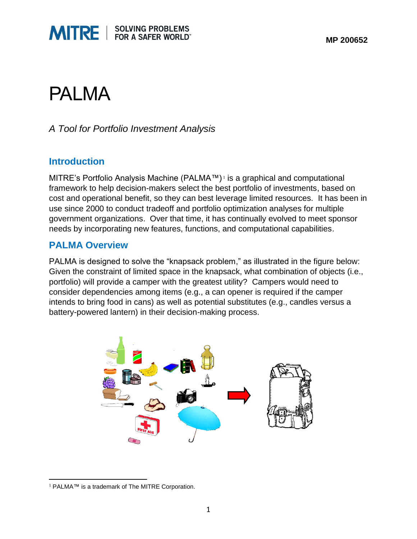



### PALMA

#### *A Tool for Portfolio Investment Analysis*

#### **Introduction**

MITRE's Portfolio Analysis Machine (PALMA™) 1 is a graphical and computational framework to help decision-makers select the best portfolio of investments, based on cost and operational benefit, so they can best leverage limited resources. It has been in use since 2000 to conduct tradeoff and portfolio optimization analyses for multiple government organizations. Over that time, it has continually evolved to meet sponsor needs by incorporating new features, functions, and computational capabilities.

#### **PALMA Overview**

PALMA is designed to solve the "knapsack problem," as illustrated in the figure below: Given the constraint of limited space in the knapsack, what combination of objects (i.e., portfolio) will provide a camper with the greatest utility? Campers would need to consider dependencies among items (e.g., a can opener is required if the camper intends to bring food in cans) as well as potential substitutes (e.g., candles versus a battery-powered lantern) in their decision-making process.



<sup>1</sup> PALMA™ is a trademark of The MITRE Corporation.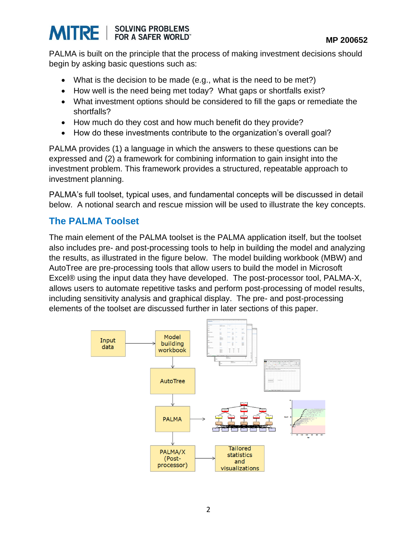

PALMA is built on the principle that the process of making investment decisions should begin by asking basic questions such as:

- What is the decision to be made (e.g., what is the need to be met?)
- How well is the need being met today? What gaps or shortfalls exist?
- What investment options should be considered to fill the gaps or remediate the shortfalls?
- How much do they cost and how much benefit do they provide?
- How do these investments contribute to the organization's overall goal?

PALMA provides (1) a language in which the answers to these questions can be expressed and (2) a framework for combining information to gain insight into the investment problem. This framework provides a structured, repeatable approach to investment planning.

PALMA's full toolset, typical uses, and fundamental concepts will be discussed in detail below. A notional search and rescue mission will be used to illustrate the key concepts.

#### **The PALMA Toolset**

The main element of the PALMA toolset is the PALMA application itself, but the toolset also includes pre- and post-processing tools to help in building the model and analyzing the results, as illustrated in the figure below. The model building workbook (MBW) and AutoTree are pre-processing tools that allow users to build the model in Microsoft Excel® using the input data they have developed. The post-processor tool, PALMA-X, allows users to automate repetitive tasks and perform post-processing of model results, including sensitivity analysis and graphical display. The pre- and post-processing elements of the toolset are discussed further in later sections of this paper.

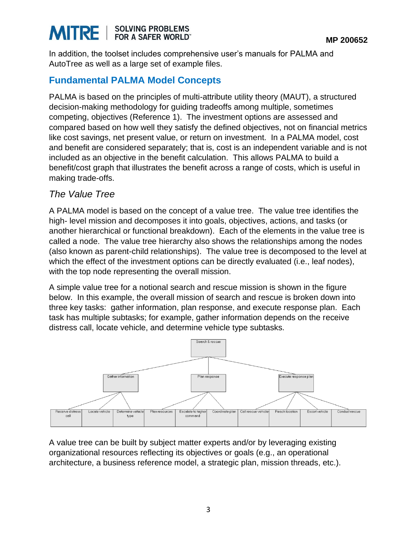#### **SOLVING PROBLEMS MITRE** FOR A SAFER WORLD"

In addition, the toolset includes comprehensive user's manuals for PALMA and AutoTree as well as a large set of example files.

#### **Fundamental PALMA Model Concepts**

PALMA is based on the principles of multi-attribute utility theory (MAUT), a structured decision-making methodology for guiding tradeoffs among multiple, sometimes competing, objectives (Reference 1). The investment options are assessed and compared based on how well they satisfy the defined objectives, not on financial metrics like cost savings, net present value, or return on investment. In a PALMA model, cost and benefit are considered separately; that is, cost is an independent variable and is not included as an objective in the benefit calculation. This allows PALMA to build a benefit/cost graph that illustrates the benefit across a range of costs, which is useful in making trade-offs.

#### *The Value Tree*

A PALMA model is based on the concept of a value tree. The value tree identifies the high- level mission and decomposes it into goals, objectives, actions, and tasks (or another hierarchical or functional breakdown). Each of the elements in the value tree is called a node. The value tree hierarchy also shows the relationships among the nodes (also known as parent-child relationships). The value tree is decomposed to the level at which the effect of the investment options can be directly evaluated (i.e., leaf nodes), with the top node representing the overall mission.

A simple value tree for a notional search and rescue mission is shown in the figure below. In this example, the overall mission of search and rescue is broken down into three key tasks: gather information, plan response, and execute response plan. Each task has multiple subtasks; for example, gather information depends on the receive distress call, locate vehicle, and determine vehicle type subtasks.



A value tree can be built by subject matter experts and/or by leveraging existing organizational resources reflecting its objectives or goals (e.g., an operational architecture, a business reference model, a strategic plan, mission threads, etc.).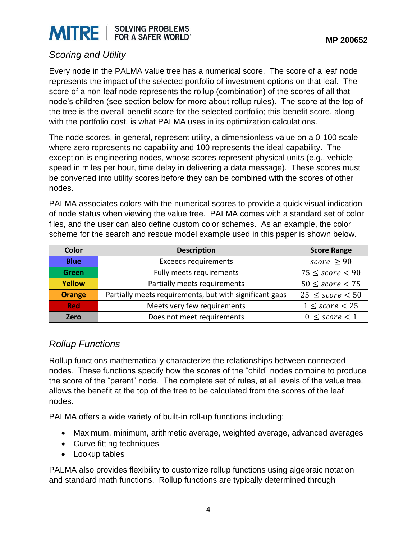### **MITRE** SOLVING PROBLEMS

#### *Scoring and Utility*

Every node in the PALMA value tree has a numerical score. The score of a leaf node represents the impact of the selected portfolio of investment options on that leaf. The score of a non-leaf node represents the rollup (combination) of the scores of all that node's children (see section below for more about rollup rules). The score at the top of the tree is the overall benefit score for the selected portfolio; this benefit score, along with the portfolio cost, is what PALMA uses in its optimization calculations.

The node scores, in general, represent utility, a dimensionless value on a 0-100 scale where zero represents no capability and 100 represents the ideal capability. The exception is engineering nodes, whose scores represent physical units (e.g., vehicle speed in miles per hour, time delay in delivering a data message). These scores must be converted into utility scores before they can be combined with the scores of other nodes.

PALMA associates colors with the numerical scores to provide a quick visual indication of node status when viewing the value tree. PALMA comes with a standard set of color files, and the user can also define custom color schemes. As an example, the color scheme for the search and rescue model example used in this paper is shown below.

| <b>Color</b>  | <b>Description</b>                                      | <b>Score Range</b>   |
|---------------|---------------------------------------------------------|----------------------|
| <b>Blue</b>   | <b>Exceeds requirements</b>                             | score $\geq 90$      |
| <b>Green</b>  | Fully meets requirements                                | $75 \leq score < 90$ |
| <b>Yellow</b> | Partially meets requirements                            | $50 \leq score < 75$ |
| <b>Orange</b> | Partially meets requirements, but with significant gaps | $25 \leq score < 50$ |
| <b>Red</b>    | Meets very few requirements                             | $1 \leq score < 25$  |
| Zero          | Does not meet requirements                              | $0 \leq score < 1$   |

#### *Rollup Functions*

Rollup functions mathematically characterize the relationships between connected nodes. These functions specify how the scores of the "child" nodes combine to produce the score of the "parent" node. The complete set of rules, at all levels of the value tree, allows the benefit at the top of the tree to be calculated from the scores of the leaf nodes.

PALMA offers a wide variety of built-in roll-up functions including:

- Maximum, minimum, arithmetic average, weighted average, advanced averages
- Curve fitting techniques
- Lookup tables

PALMA also provides flexibility to customize rollup functions using algebraic notation and standard math functions. Rollup functions are typically determined through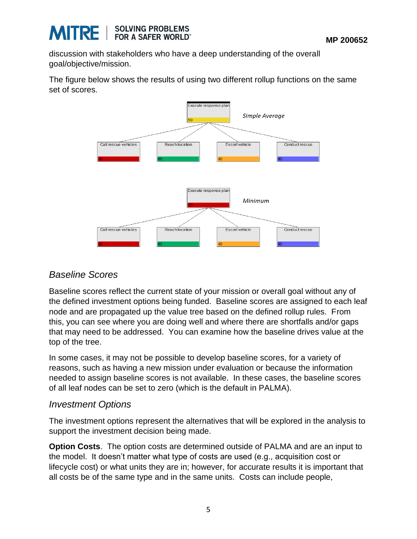

discussion with stakeholders who have a deep understanding of the overall goal/objective/mission.

The figure below shows the results of using two different rollup functions on the same set of scores.



#### *Baseline Scores*

Baseline scores reflect the current state of your mission or overall goal without any of the defined investment options being funded. Baseline scores are assigned to each leaf node and are propagated up the value tree based on the defined rollup rules. From this, you can see where you are doing well and where there are shortfalls and/or gaps that may need to be addressed. You can examine how the baseline drives value at the top of the tree.

In some cases, it may not be possible to develop baseline scores, for a variety of reasons, such as having a new mission under evaluation or because the information needed to assign baseline scores is not available. In these cases, the baseline scores of all leaf nodes can be set to zero (which is the default in PALMA).

#### *Investment Options*

The investment options represent the alternatives that will be explored in the analysis to support the investment decision being made.

**Option Costs**. The option costs are determined outside of PALMA and are an input to the model. It doesn't matter what type of costs are used (e.g., acquisition cost or lifecycle cost) or what units they are in; however, for accurate results it is important that all costs be of the same type and in the same units. Costs can include people,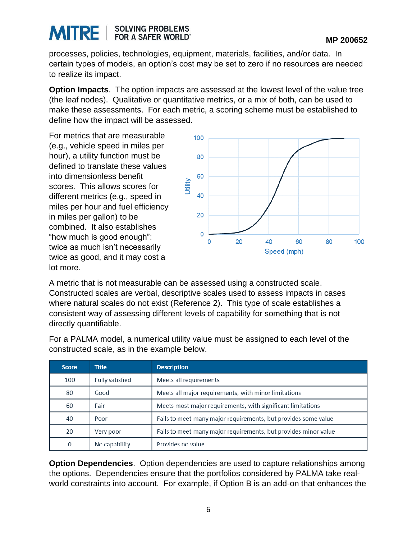#### **SOLVING PROBLEMS**<br>FOR A SAFER WORLD" **MITRE**

processes, policies, technologies, equipment, materials, facilities, and/or data. In certain types of models, an option's cost may be set to zero if no resources are needed to realize its impact.

**Option Impacts**. The option impacts are assessed at the lowest level of the value tree (the leaf nodes). Qualitative or quantitative metrics, or a mix of both, can be used to make these assessments. For each metric, a scoring scheme must be established to define how the impact will be assessed.

For metrics that are measurable (e.g., vehicle speed in miles per hour), a utility function must be defined to translate these values into dimensionless benefit scores. This allows scores for different metrics (e.g., speed in miles per hour and fuel efficiency in miles per gallon) to be combined. It also establishes "how much is good enough": twice as much isn't necessarily twice as good, and it may cost a lot more.



A metric that is not measurable can be assessed using a constructed scale. Constructed scales are verbal, descriptive scales used to assess impacts in cases where natural scales do not exist (Reference 2). This type of scale establishes a consistent way of assessing different levels of capability for something that is not directly quantifiable.

| <b>Score</b> | <b>Title</b>           | <b>Description</b>                                              |
|--------------|------------------------|-----------------------------------------------------------------|
| 100          | <b>Fully satisfied</b> | Meets all requirements                                          |
| 80           | Good                   | Meets all major requirements, with minor limitations            |
| 60           | Fair                   | Meets most major requirements, with significant limitations     |
| 40           | Poor                   | Fails to meet many major requirements, but provides some value  |
| 20           | Very poor              | Fails to meet many major requirements, but provides minor value |
| $\mathbf{0}$ | No capability          | Provides no value                                               |

For a PALMA model, a numerical utility value must be assigned to each level of the constructed scale, as in the example below.

**Option Dependencies**. Option dependencies are used to capture relationships among the options. Dependencies ensure that the portfolios considered by PALMA take realworld constraints into account. For example, if Option B is an add-on that enhances the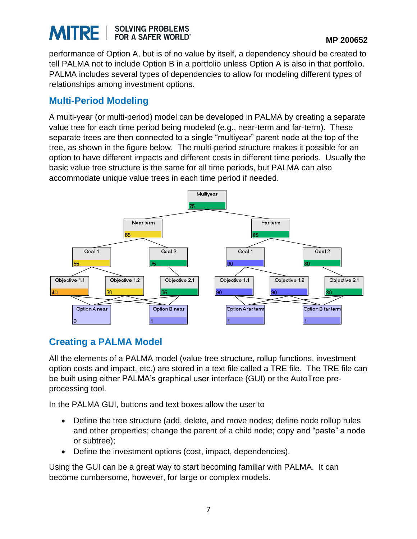#### **SOLVING PROBLEMS**<br>FOR A SAFER WORLD" **MITRE**

performance of Option A, but is of no value by itself, a dependency should be created to tell PALMA not to include Option B in a portfolio unless Option A is also in that portfolio. PALMA includes several types of dependencies to allow for modeling different types of relationships among investment options.

#### **Multi-Period Modeling**

A multi-year (or multi-period) model can be developed in PALMA by creating a separate value tree for each time period being modeled (e.g., near-term and far-term). These separate trees are then connected to a single "multiyear" parent node at the top of the tree, as shown in the figure below. The multi-period structure makes it possible for an option to have different impacts and different costs in different time periods. Usually the basic value tree structure is the same for all time periods, but PALMA can also accommodate unique value trees in each time period if needed.



### **Creating a PALMA Model**

All the elements of a PALMA model (value tree structure, rollup functions, investment option costs and impact, etc.) are stored in a text file called a TRE file. The TRE file can be built using either PALMA's graphical user interface (GUI) or the AutoTree preprocessing tool.

In the PALMA GUI, buttons and text boxes allow the user to

- Define the tree structure (add, delete, and move nodes; define node rollup rules and other properties; change the parent of a child node; copy and "paste" a node or subtree);
- Define the investment options (cost, impact, dependencies).

Using the GUI can be a great way to start becoming familiar with PALMA. It can become cumbersome, however, for large or complex models.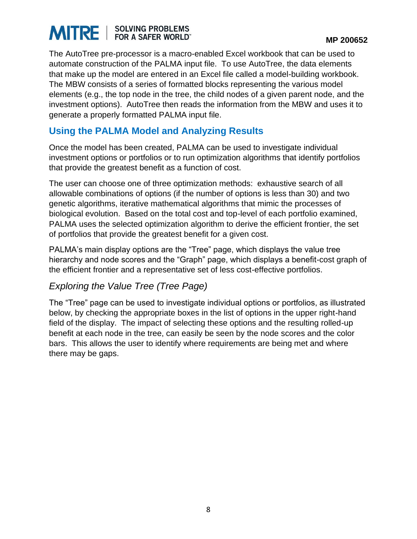# **MITRE** SOLVING PROBLEMS

The AutoTree pre-processor is a macro-enabled Excel workbook that can be used to automate construction of the PALMA input file. To use AutoTree, the data elements that make up the model are entered in an Excel file called a model-building workbook. The MBW consists of a series of formatted blocks representing the various model elements (e.g., the top node in the tree, the child nodes of a given parent node, and the investment options). AutoTree then reads the information from the MBW and uses it to generate a properly formatted PALMA input file.

#### **Using the PALMA Model and Analyzing Results**

Once the model has been created, PALMA can be used to investigate individual investment options or portfolios or to run optimization algorithms that identify portfolios that provide the greatest benefit as a function of cost.

The user can choose one of three optimization methods: exhaustive search of all allowable combinations of options (if the number of options is less than 30) and two genetic algorithms, iterative mathematical algorithms that mimic the processes of biological evolution. Based on the total cost and top-level of each portfolio examined, PALMA uses the selected optimization algorithm to derive the efficient frontier, the set of portfolios that provide the greatest benefit for a given cost.

PALMA's main display options are the "Tree" page, which displays the value tree hierarchy and node scores and the "Graph" page, which displays a benefit-cost graph of the efficient frontier and a representative set of less cost-effective portfolios.

#### *Exploring the Value Tree (Tree Page)*

The "Tree" page can be used to investigate individual options or portfolios, as illustrated below, by checking the appropriate boxes in the list of options in the upper right-hand field of the display. The impact of selecting these options and the resulting rolled-up benefit at each node in the tree, can easily be seen by the node scores and the color bars. This allows the user to identify where requirements are being met and where there may be gaps.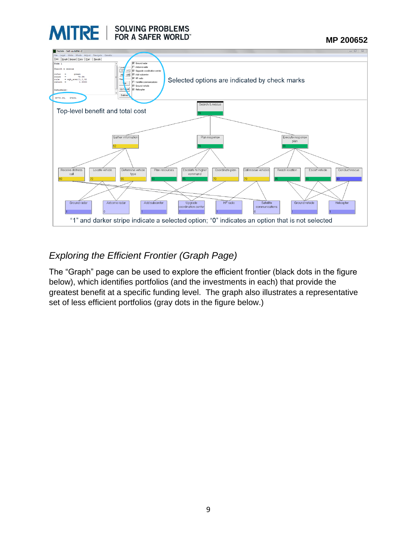

 **MP 200652**



### *Exploring the Efficient Frontier (Graph Page)*

The "Graph" page can be used to explore the efficient frontier (black dots in the figure below), which identifies portfolios (and the investments in each) that provide the greatest benefit at a specific funding level. The graph also illustrates a representative set of less efficient portfolios (gray dots in the figure below.)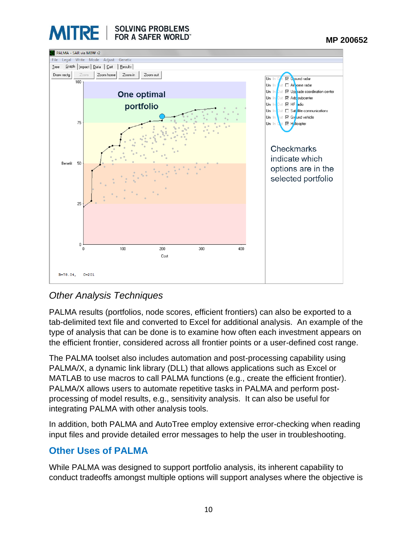



#### *Other Analysis Techniques*

PALMA results (portfolios, node scores, efficient frontiers) can also be exported to a tab-delimited text file and converted to Excel for additional analysis. An example of the type of analysis that can be done is to examine how often each investment appears on the efficient frontier, considered across all frontier points or a user-defined cost range.

The PALMA toolset also includes automation and post-processing capability using PALMA/X, a dynamic link library (DLL) that allows applications such as Excel or MATLAB to use macros to call PALMA functions (e.g., create the efficient frontier). PALMA/X allows users to automate repetitive tasks in PALMA and perform postprocessing of model results, e.g., sensitivity analysis. It can also be useful for integrating PALMA with other analysis tools.

In addition, both PALMA and AutoTree employ extensive error-checking when reading input files and provide detailed error messages to help the user in troubleshooting.

#### **Other Uses of PALMA**

While PALMA was designed to support portfolio analysis, its inherent capability to conduct tradeoffs amongst multiple options will support analyses where the objective is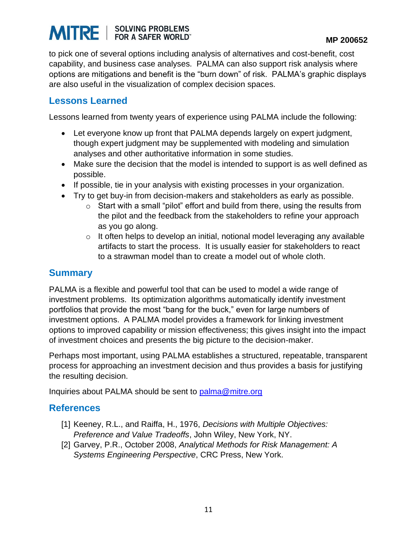# **MITRE** SOLVING PROBLEMS

to pick one of several options including analysis of alternatives and cost-benefit, cost capability, and business case analyses. PALMA can also support risk analysis where options are mitigations and benefit is the "burn down" of risk. PALMA's graphic displays are also useful in the visualization of complex decision spaces.

#### **Lessons Learned**

Lessons learned from twenty years of experience using PALMA include the following:

- Let everyone know up front that PALMA depends largely on expert judgment, though expert judgment may be supplemented with modeling and simulation analyses and other authoritative information in some studies.
- Make sure the decision that the model is intended to support is as well defined as possible.
- If possible, tie in your analysis with existing processes in your organization.
- Try to get buy-in from decision-makers and stakeholders as early as possible.
	- $\circ$  Start with a small "pilot" effort and build from there, using the results from the pilot and the feedback from the stakeholders to refine your approach as you go along.
	- $\circ$  It often helps to develop an initial, notional model leveraging any available artifacts to start the process. It is usually easier for stakeholders to react to a strawman model than to create a model out of whole cloth.

#### **Summary**

PALMA is a flexible and powerful tool that can be used to model a wide range of investment problems. Its optimization algorithms automatically identify investment portfolios that provide the most "bang for the buck," even for large numbers of investment options. A PALMA model provides a framework for linking investment options to improved capability or mission effectiveness; this gives insight into the impact of investment choices and presents the big picture to the decision-maker.

Perhaps most important, using PALMA establishes a structured, repeatable, transparent process for approaching an investment decision and thus provides a basis for justifying the resulting decision.

Inquiries about PALMA should be sent to [palma@mitre.org](mailto:palma@mitre.org)

#### **References**

- [1] Keeney, R.L., and Raiffa, H., 1976, *Decisions with Multiple Objectives: Preference and Value Tradeoffs*, John Wiley, New York, NY.
- [2] Garvey, P.R., October 2008, *Analytical Methods for Risk Management: A Systems Engineering Perspective*, CRC Press, New York.